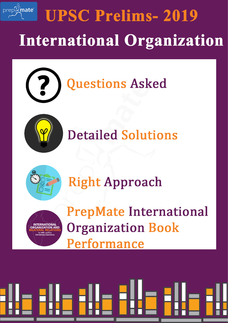## prep<sup>p</sup>mate® **UPSC Prelims-2019 International Organization**



# **Questions Asked**



# **Detailed Solutions**



## **Right Approach**



**PrepMate International Organization Book** Performance

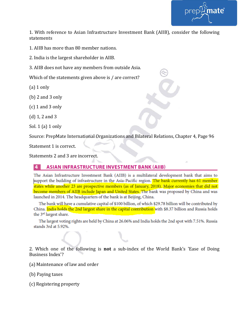

1. With reference to Asian Infrastructure Investment Bank (AIIB), consider the following statements

1. AIIB has more than 80 member nations.

2. India is the largest shareholder in AIIB.

3. AIIB does not have any members from outside Asia.

Which of the statements given above is / are correct?

 $(a)$  1 only

(b) 2 and 3 only

(c) 1 and 3 only

(d) 1, 2 and 3

Sol. 1 (a) 1 only

Source: PrepMate International Organizations and Bilateral Relations, Chapter 4, Page 96

Statement 1 is correct.

Statements 2 and 3 are incorrect.

#### **ASIAN INFRASTRUCTURE INVESTMENT BANK (AIIB)**

The Asian Infrastructure Investment Bank (AIIB) is a multilateral development bank that aims to support the building of infrastructure in the Asia-Pacific region. The bank currently has 61 member states while another 23 are prospective members (as of January, 2018). Major economies that did not become members of AIIB include Japan and United States. The bank was proposed by China and was launched in 2014. The headquarters of the bank is at Beijing, China.

The bank will have a cumulative capital of \$100 billion, of which \$29.78 billion will be contributed by China. **India holds the 2nd largest share in the capital contribution** with \$8.37 billion and Russia holds the 3<sup>rd</sup> largest share.

The largest voting rights are held by China at 26.06% and India holds the 2nd spot with 7.51%. Russia stands 3rd at 5.92%.

2. Which one of the following is **not** a sub-index of the World Bank's 'Ease of Doing Business Index'?

(a) Maintenance of law and order

(b) Paying taxes

(c) Registering property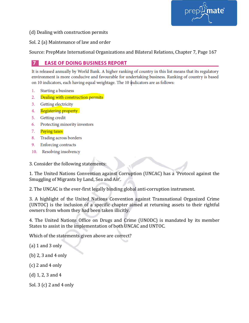nate®

(d) Dealing with construction permits

Sol. 2 (a) Maintenance of law and order

Source: PrepMate International Organizations and Bilateral Relations, Chapter 7, Page 167

### **EASE OF DOING BUSINESS REPORT**

It is released annually by World Bank. A higher ranking of country in this list means that its regulatory environment is more conducive and favourable for undertaking business. Ranking of country is based on 10 indicators, each having equal weightage. The 10 indicators are as follows:

- Starting a business 1.
- $2.$ Dealing with construction permits
- $3.$ Getting electricity
- 4. Registering property
- 5. **Getting** credit
- Protecting minority investors 6.
- 7. Paying taxes
- Trading across borders 8.
- 9. **Enforcing contracts**
- 10. Resolving insolvency

3. Consider the following statements:

1. The United Nations Convention against Corruption (UNCAC) has a 'Protocol against the Smuggling of Migrants by Land, Sea and Air'.

2. The UNCAC is the ever-first legally binding global anti-corruption instrument.

3. A highlight of the United Nations Convention against Transnational Organized Crime (UNTOC) is the inclusion of a specific chapter aimed at returning assets to their rightful owners from whom they had been taken illicitly.

4. The United Nations Office on Drugs and Crime (UNODC) is mandated by its member States to assist in the implementation of both UNCAC and UNTOC.

Which of the statements given above are correct?

- (a) 1 and 3 only
- (b) 2, 3 and 4 only
- (c) 2 and 4 only
- (d) 1, 2, 3 and 4
- Sol. 3 (c) 2 and 4 only